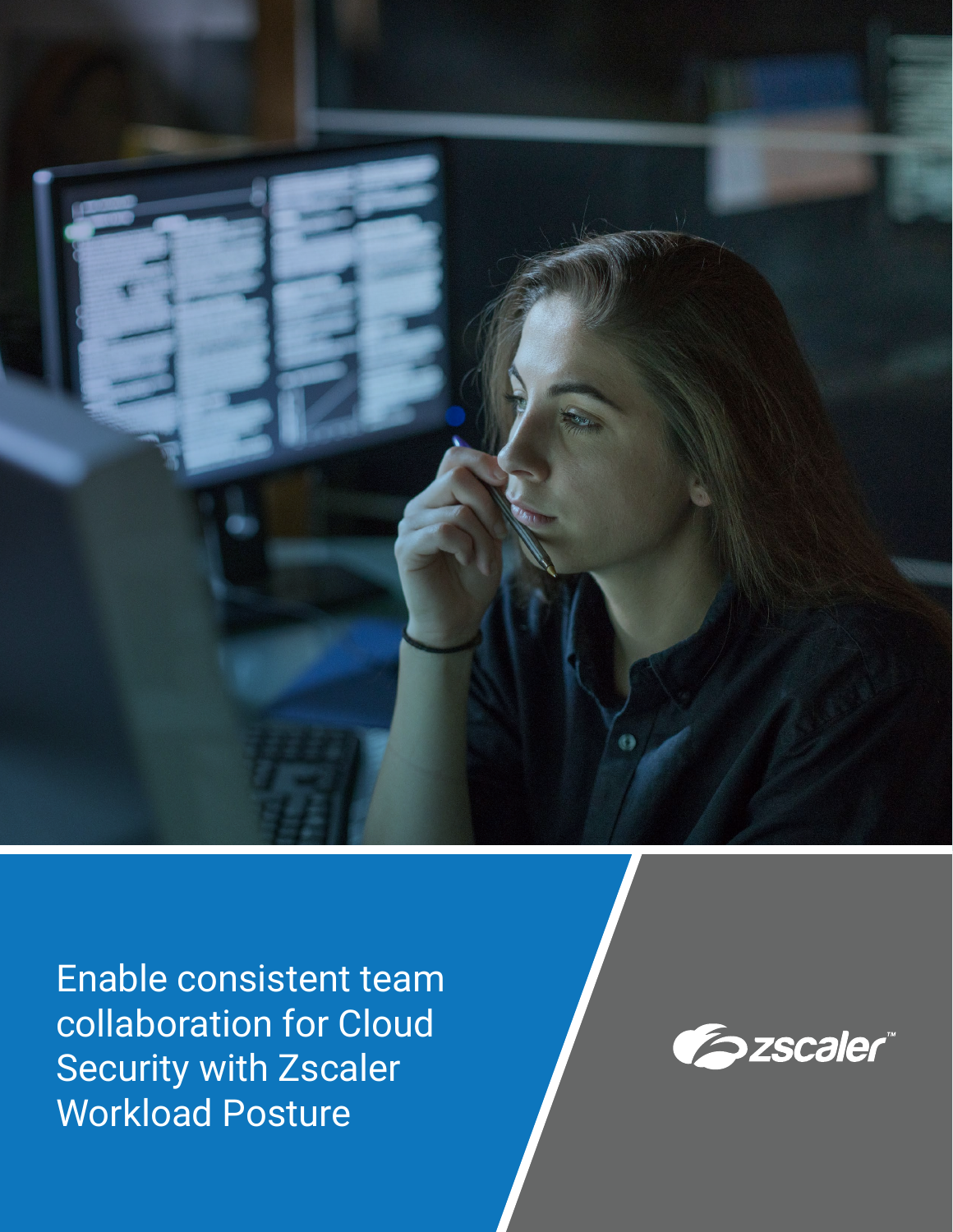

Enable consistent team collaboration for Cloud Security with Zscaler Workload Posture

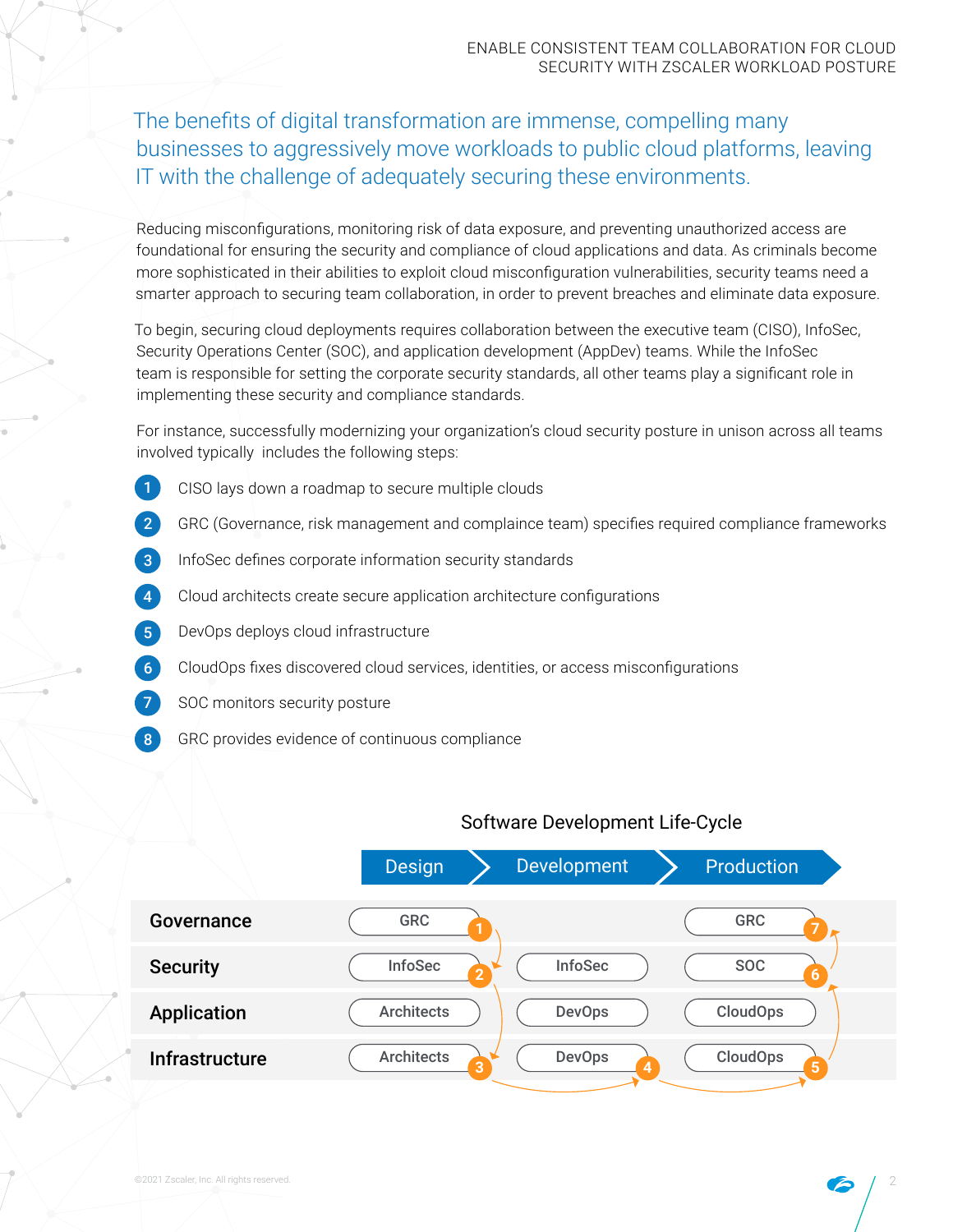The benefits of digital transformation are immense, compelling many businesses to aggressively move workloads to public cloud platforms, leaving IT with the challenge of adequately securing these environments.

Reducing misconfigurations, monitoring risk of data exposure, and preventing unauthorized access are foundational for ensuring the security and compliance of cloud applications and data. As criminals become more sophisticated in their abilities to exploit cloud misconfiguration vulnerabilities, security teams need a smarter approach to securing team collaboration, in order to prevent breaches and eliminate data exposure.

To begin, securing cloud deployments requires collaboration between the executive team (CISO), InfoSec, Security Operations Center (SOC), and application development (AppDev) teams. While the InfoSec team is responsible for setting the corporate security standards, all other teams play a significant role in implementing these security and compliance standards.

For instance, successfully modernizing your organization's cloud security posture in unison across all teams involved typically includes the following steps:

- CISO lays down a roadmap to secure multiple clouds 1
- GRC (Governance, risk management and complaince team) specifies required compliance frameworks 2
- InfoSec defines corporate information security standards 3
- Cloud architects create secure application architecture configurations 4
- DevOps deploys cloud infrastructure 5
- CloudOps fixes discovered cloud services, identities, or access misconfigurations 6
- SOC monitors security posture 7
- GRC provides evidence of continuous compliance 8

### Software Development Life-Cycle

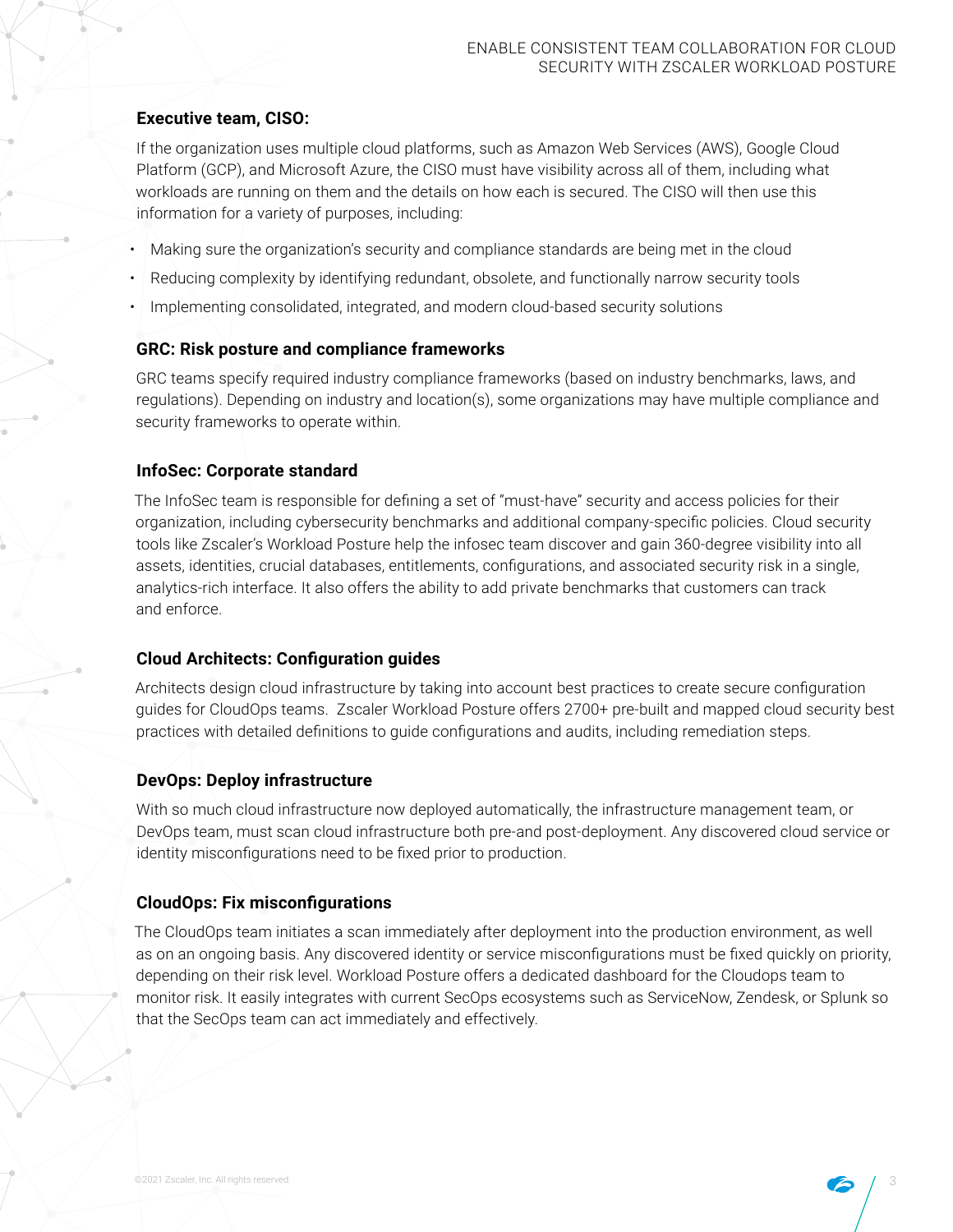#### **Executive team, CISO:**

If the organization uses multiple cloud platforms, such as Amazon Web Services (AWS), Google Cloud Platform (GCP), and Microsoft Azure, the CISO must have visibility across all of them, including what workloads are running on them and the details on how each is secured. The CISO will then use this information for a variety of purposes, including:

- Making sure the organization's security and compliance standards are being met in the cloud
- Reducing complexity by identifying redundant, obsolete, and functionally narrow security tools
- Implementing consolidated, integrated, and modern cloud-based security solutions

#### **GRC: Risk posture and compliance frameworks**

GRC teams specify required industry compliance frameworks (based on industry benchmarks, laws, and regulations). Depending on industry and location(s), some organizations may have multiple compliance and security frameworks to operate within.

### **InfoSec: Corporate standard**

The InfoSec team is responsible for defining a set of "must-have" security and access policies for their organization, including cybersecurity benchmarks and additional company-specific policies. Cloud security tools like Zscaler's Workload Posture help the infosec team discover and gain 360-degree visibility into all assets, identities, crucial databases, entitlements, configurations, and associated security risk in a single, analytics-rich interface. It also offers the ability to add private benchmarks that customers can track and enforce.

### **Cloud Architects: Configuration guides**

Architects design cloud infrastructure by taking into account best practices to create secure configuration guides for CloudOps teams. Zscaler Workload Posture offers 2700+ pre-built and mapped cloud security best practices with detailed definitions to guide configurations and audits, including remediation steps.

### **DevOps: Deploy infrastructure**

With so much cloud infrastructure now deployed automatically, the infrastructure management team, or DevOps team, must scan cloud infrastructure both pre-and post-deployment. Any discovered cloud service or identity misconfigurations need to be fixed prior to production.

#### **CloudOps: Fix misconfigurations**

The CloudOps team initiates a scan immediately after deployment into the production environment, as well as on an ongoing basis. Any discovered identity or service misconfigurations must be fixed quickly on priority, depending on their risk level. Workload Posture offers a dedicated dashboard for the Cloudops team to monitor risk. It easily integrates with current SecOps ecosystems such as ServiceNow, Zendesk, or Splunk so that the SecOps team can act immediately and effectively.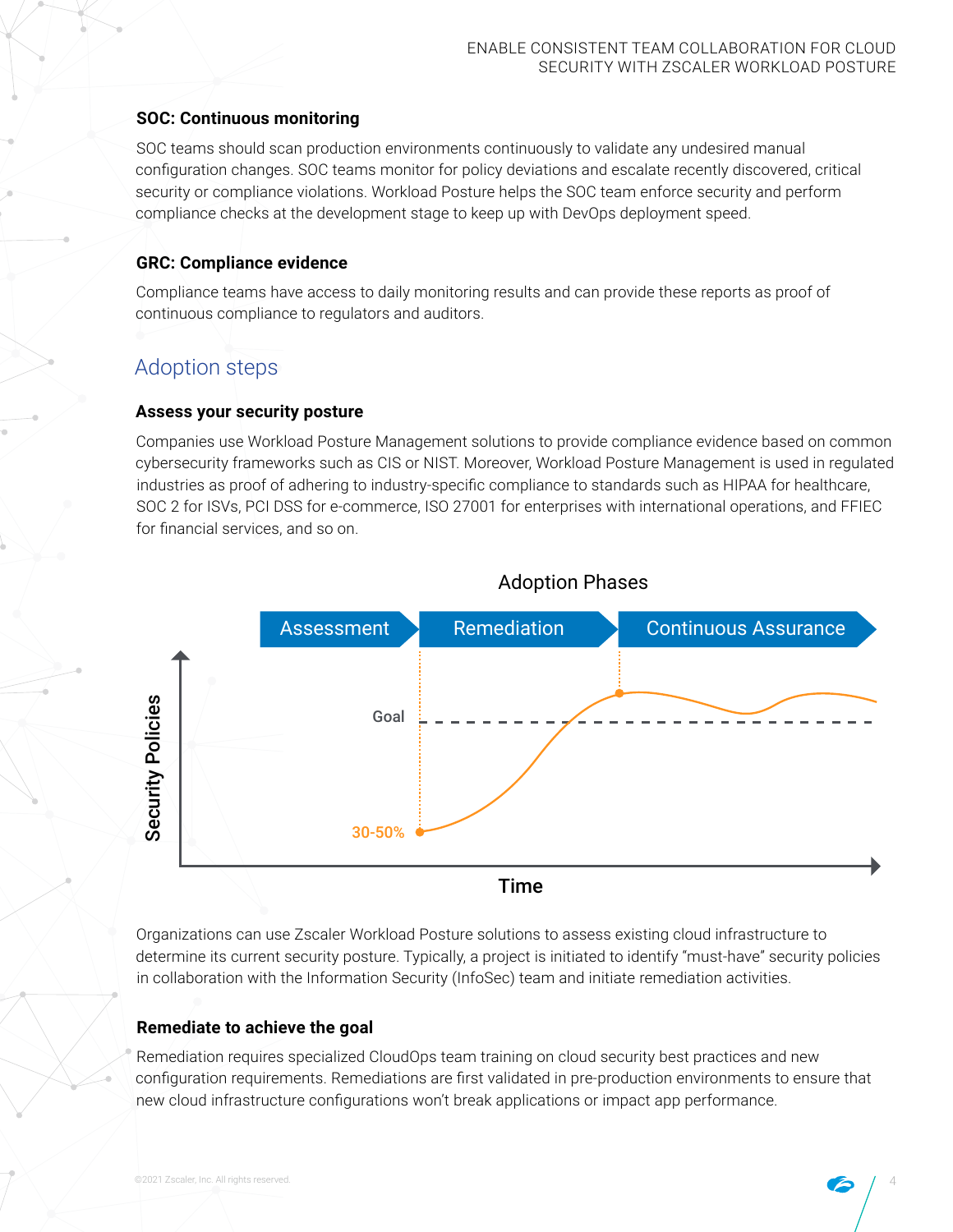### **SOC: Continuous monitoring**

SOC teams should scan production environments continuously to validate any undesired manual configuration changes. SOC teams monitor for policy deviations and escalate recently discovered, critical security or compliance violations. Workload Posture helps the SOC team enforce security and perform compliance checks at the development stage to keep up with DevOps deployment speed.

### **GRC: Compliance evidence**

Compliance teams have access to daily monitoring results and can provide these reports as proof of continuous compliance to regulators and auditors.

# Adoption steps

### **Assess your security posture**

Companies use Workload Posture Management solutions to provide compliance evidence based on common cybersecurity frameworks such as CIS or NIST. Moreover, Workload Posture Management is used in regulated industries as proof of adhering to industry-specific compliance to standards such as HIPAA for healthcare, SOC 2 for ISVs, PCI DSS for e-commerce, ISO 27001 for enterprises with international operations, and FFIEC for financial services, and so on.



## Adoption Phases

Organizations can use Zscaler Workload Posture solutions to assess existing cloud infrastructure to determine its current security posture. Typically, a project is initiated to identify "must-have" security policies in collaboration with the Information Security (InfoSec) team and initiate remediation activities.

### **Remediate to achieve the goal**

Remediation requires specialized CloudOps team training on cloud security best practices and new configuration requirements. Remediations are first validated in pre-production environments to ensure that new cloud infrastructure configurations won't break applications or impact app performance.